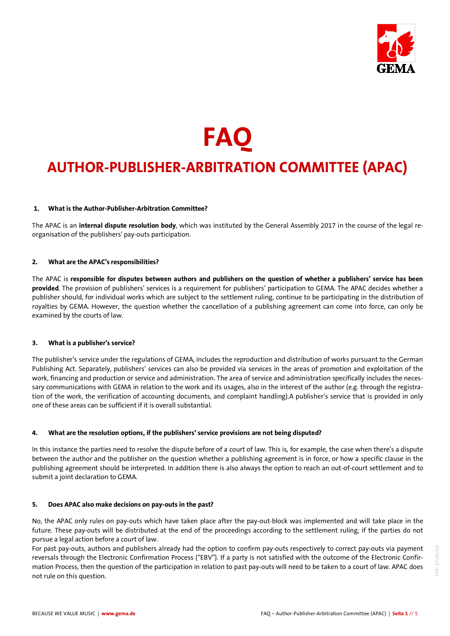

# **FAQ AUTHOR-PUBLISHER-ARBITRATION COMMITTEE (APAC)**

# **1. What is the Author-Publisher-Arbitration Committee?**

The APAC is an **internal dispute resolution body**, which was instituted by the General Assembly 2017 in the course of the legal reorganisation of the publishers' pay-outs participation.

## **2. What are the APAC's responsibilities?**

The APAC is **responsible for disputes between authors and publishers on the question of whether a publishers' service has been provided**. The provision of publishers' services is a requirement for publishers' participation to GEMA. The APAC decides whether a publisher should, for individual works which are subject to the settlement ruling, continue to be participating in the distribution of royalties by GEMA. However, the question whether the cancellation of a publishing agreement can come into force, can only be examined by the courts of law.

#### **3. What is a publisher's service?**

The publisher's service under the regulations of GEMA, includes the reproduction and distribution of works pursuant to the German Publishing Act. Separately, publishers' services can also be provided via services in the areas of promotion and exploitation of the work, financing and production or service and administration. The area of service and administration specifically includes the necessary communications with GEMA in relation to the work and its usages, also in the interest of the author (e.g. through the registration of the work, the verification of accounting documents, and complaint handling).A publisher's service that is provided in only one of these areas can be sufficient if it is overall substantial.

#### **4. What are the resolution options, if the publishers' service provisions are not being disputed?**

In this instance the parties need to resolve the dispute before of a court of law. This is, for example, the case when there's a dispute between the author and the publisher on the question whether a publishing agreement is in force, or how a specific clause in the publishing agreement should be interpreted. In addition there is also always the option to reach an out-of-court settlement and to submit a joint declaration to GEMA.

#### **5. Does APAC also make decisions on pay-outs in the past?**

No, the APAC only rules on pay-outs which have taken place after the pay-out-block was implemented and will take place in the future. These pay-outs will be distributed at the end of the proceedings according to the settlement ruling, if the parties do not pursue a legal action before a court of law.

For past pay-outs, authors and publishers already had the option to confirm pay-outs respectively to correct pay-outs via payment reversals through the Electronic Confirmation Process ("EBV"). If a party is not satisfied with the outcome of the Electronic Confirmation Process, then the question of the participation in relation to past pay-outs will need to be taken to a court of law. APAC does not rule on this question.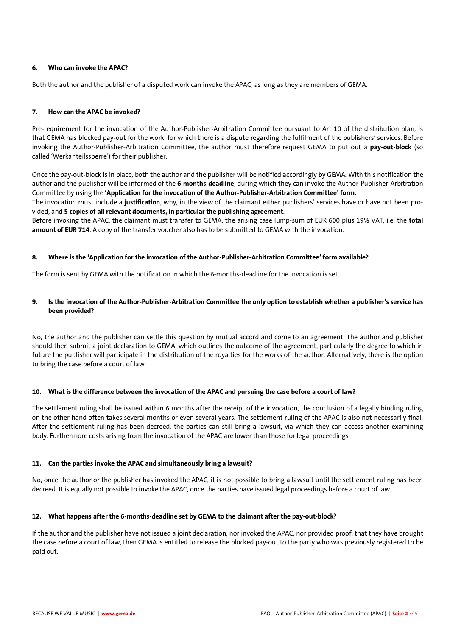## **6. Who can invoke the APAC?**

Both the author and the publisher of a disputed work can invoke the APAC, as long as they are members of GEMA.

## **7. How can the APAC be invoked?**

Pre-requirement for the invocation of the Author-Publisher-Arbitration Committee pursuant to Art 10 of the distribution plan, is that GEMA has blocked pay-out for the work, for which there is a dispute regarding the fulfilment of the publishers' services. Before invoking the Author-Publisher-Arbitration Committee, the author must therefore request GEMA to put out a **pay-out-block** (so called 'Werkanteilssperre') for their publisher.

Once the pay-out-block is in place, both the author and the publisher will be notified accordingly by GEMA. With this notification the author and the publisher will be informed of the **6-months-deadline**, during which they can invoke the Author-Publisher-Arbitration Committee by using the **'Application for the invocation of the Author-Publisher-Arbitration Committee' form.** 

The invocation must include a **justification**, why, in the view of the claimant either publishers' services have or have not been provided, and **5 copies of all relevant documents, in particular the publishing agreement**.

Before invoking the APAC, the claimant must transfer to GEMA, the arising case lump-sum of EUR 600 plus 19% VAT, i.e. the **total amount of EUR 714**. A copy of the transfer voucher also has to be submitted to GEMA with the invocation.

## **8. Where is the 'Application for the invocation of the Author-Publisher-Arbitration Committee' form available?**

The form is sent by GEMA with the notification in which the 6-months-deadline for the invocation is set.

# **9. Is the invocation of the Author-Publisher-Arbitration Committee the only option to establish whether a publisher's service has been provided?**

No, the author and the publisher can settle this question by mutual accord and come to an agreement. The author and publisher should then submit a joint declaration to GEMA, which outlines the outcome of the agreement, particularly the degree to which in future the publisher will participate in the distribution of the royalties for the works of the author. Alternatively, there is the option to bring the case before a court of law.

# **10. What is the difference between the invocation of the APAC and pursuing the case before a court of law?**

The settlement ruling shall be issued within 6 months after the receipt of the invocation, the conclusion of a legally binding ruling on the other hand often takes several months or even several years. The settlement ruling of the APAC is also not necessarily final. After the settlement ruling has been decreed, the parties can still bring a lawsuit, via which they can access another examining body. Furthermore costs arising from the invocation of the APAC are lower than those for legal proceedings.

#### **11. Can the parties invoke the APAC and simultaneously bring a lawsuit?**

No, once the author or the publisher has invoked the APAC, it is not possible to bring a lawsuit until the settlement ruling has been decreed. It is equally not possible to invoke the APAC, once the parties have issued legal proceedings before a court of law.

# **12. What happens after the 6-months-deadline set by GEMA to the claimant after the pay-out-block?**

If the author and the publisher have not issued a joint declaration, nor invoked the APAC, nor provided proof, that they have brought the case before a court of law, then GEMA is entitled to release the blocked pay-out to the party who was previously registered to be paid out.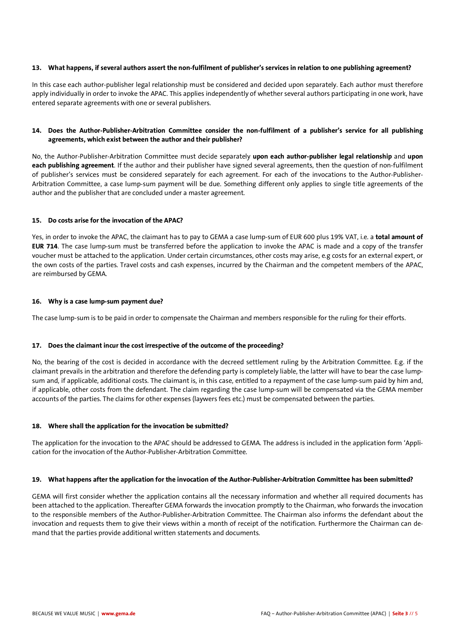## **13. What happens, if several authors assert the non-fulfilment of publisher's services in relation to one publishing agreement?**

In this case each author-publisher legal relationship must be considered and decided upon separately. Each author must therefore apply individually in order to invoke the APAC. This applies independently of whether several authors participating in one work, have entered separate agreements with one or several publishers.

# **14. Does the Author-Publisher-Arbitration Committee consider the non-fulfilment of a publisher's service for all publishing agreements, which exist between the author and their publisher?**

No, the Author-Publisher-Arbitration Committee must decide separately **upon each author-publisher legal relationship** and **upon each publishing agreement**. If the author and their publisher have signed several agreements, then the question of non-fulfilment of publisher's services must be considered separately for each agreement. For each of the invocations to the Author-Publisher-Arbitration Committee, a case lump-sum payment will be due. Something different only applies to single title agreements of the author and the publisher that are concluded under a master agreement.

# **15. Do costs arise for the invocation of the APAC?**

Yes, in order to invoke the APAC, the claimant has to pay to GEMA a case lump-sum of EUR 600 plus 19% VAT, i.e. a **total amount of EUR 714**. The case lump-sum must be transferred before the application to invoke the APAC is made and a copy of the transfer voucher must be attached to the application. Under certain circumstances, other costs may arise, e.g costs for an external expert, or the own costs of the parties. Travel costs and cash expenses, incurred by the Chairman and the competent members of the APAC, are reimbursed by GEMA.

## **16. Why is a case lump-sum payment due?**

The case lump-sum is to be paid in order to compensate the Chairman and members responsible for the ruling for their efforts.

# **17. Does the claimant incur the cost irrespective of the outcome of the proceeding?**

No, the bearing of the cost is decided in accordance with the decreed settlement ruling by the Arbitration Committee. E.g. if the claimant prevails in the arbitration and therefore the defending party is completely liable, the latter will have to bear the case lumpsum and, if applicable, additional costs. The claimant is, in this case, entitled to a repayment of the case lump-sum paid by him and, if applicable, other costs from the defendant. The claim regarding the case lump-sum will be compensated via the GEMA member accounts of the parties. The claims for other expenses (laywers fees etc.) must be compensated between the parties.

# **18. Where shall the application for the invocation be submitted?**

The application for the invocation to the APAC should be addressed to GEMA. The address is included in the application form 'Application for the invocation of the Author-Publisher-Arbitration Committee.

#### **19. What happens after the application for the invocation of the Author-Publisher-Arbitration Committee has been submitted?**

GEMA will first consider whether the application contains all the necessary information and whether all required documents has been attached to the application. Thereafter GEMA forwards the invocation promptly to the Chairman, who forwards the invocation to the responsible members of the Author-Publisher-Arbitration Committee. The Chairman also informs the defendant about the invocation and requests them to give their views within a month of receipt of the notification. Furthermore the Chairman can demand that the parties provide additional written statements and documents.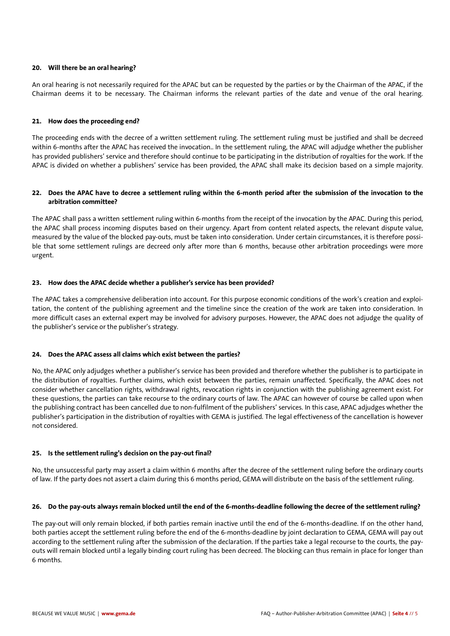## **20. Will there be an oral hearing?**

An oral hearing is not necessarily required for the APAC but can be requested by the parties or by the Chairman of the APAC, if the Chairman deems it to be necessary. The Chairman informs the relevant parties of the date and venue of the oral hearing.

#### **21. How does the proceeding end?**

The proceeding ends with the decree of a written settlement ruling. The settlement ruling must be justified and shall be decreed within 6-months after the APAC has received the invocation.. In the settlement ruling, the APAC will adjudge whether the publisher has provided publishers' service and therefore should continue to be participating in the distribution of royalties for the work. If the APAC is divided on whether a publishers' service has been provided, the APAC shall make its decision based on a simple majority.

## **22. Does the APAC have to decree a settlement ruling within the 6-month period after the submission of the invocation to the arbitration committee?**

The APAC shall pass a written settlement ruling within 6-months from the receipt of the invocation by the APAC. During this period, the APAC shall process incoming disputes based on their urgency. Apart from content related aspects, the relevant dispute value, measured by the value of the blocked pay-outs, must be taken into consideration. Under certain circumstances, it is therefore possible that some settlement rulings are decreed only after more than 6 months, because other arbitration proceedings were more urgent.

## **23. How does the APAC decide whether a publisher's service has been provided?**

The APAC takes a comprehensive deliberation into account. For this purpose economic conditions of the work's creation and exploitation, the content of the publishing agreement and the timeline since the creation of the work are taken into consideration. In more difficult cases an external expert may be involved for advisory purposes. However, the APAC does not adjudge the quality of the publisher's service or the publisher's strategy.

# **24. Does the APAC assess all claims which exist between the parties?**

No, the APAC only adjudges whether a publisher's service has been provided and therefore whether the publisher is to participate in the distribution of royalties. Further claims, which exist between the parties, remain unaffected. Specifically, the APAC does not consider whether cancellation rights, withdrawal rights, revocation rights in conjunction with the publishing agreement exist. For these questions, the parties can take recourse to the ordinary courts of law. The APAC can however of course be called upon when the publishing contract has been cancelled due to non-fulfilment of the publishers' services. In this case, APAC adjudges whether the publisher's participation in the distribution of royalties with GEMA is justified. The legal effectiveness of the cancellation is however not considered.

# **25. Is the settlement ruling's decision on the pay-out final?**

No, the unsuccessful party may assert a claim within 6 months after the decree of the settlement ruling before the ordinary courts of law. If the party does not assert a claim during this 6 months period, GEMA will distribute on the basis of the settlement ruling.

#### **26. Do the pay-outs always remain blocked until the end of the 6-months-deadline following the decree of the settlement ruling?**

The pay-out will only remain blocked, if both parties remain inactive until the end of the 6-months-deadline. If on the other hand, both parties accept the settlement ruling before the end of the 6-months-deadline by joint declaration to GEMA, GEMA will pay out according to the settlement ruling after the submission of the declaration. If the parties take a legal recourse to the courts, the payouts will remain blocked until a legally binding court ruling has been decreed. The blocking can thus remain in place for longer than 6 months.